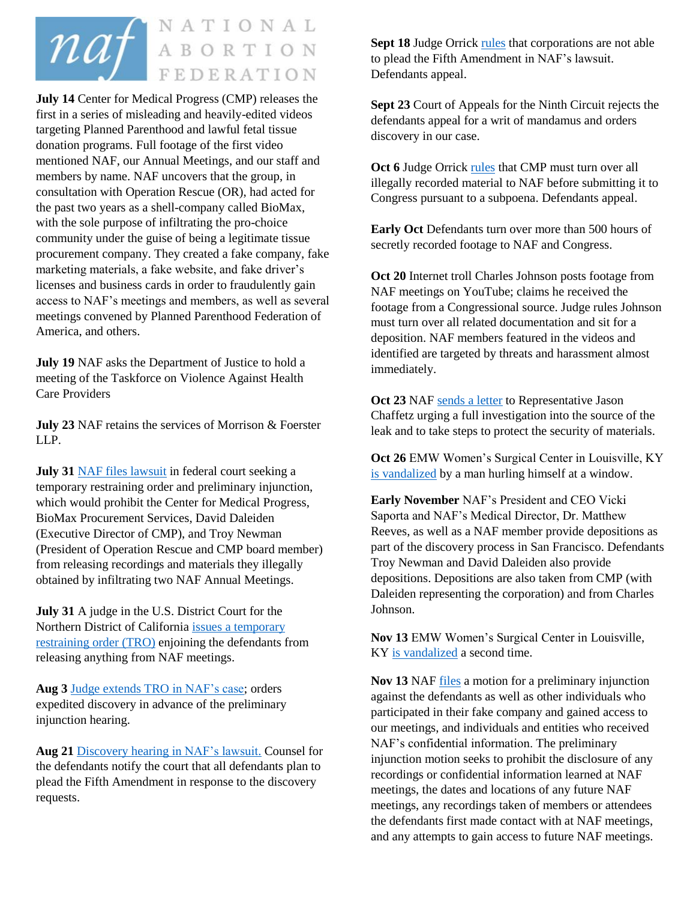

**July 14** Center for Medical Progress (CMP) releases the first in a series of misleading and heavily-edited videos targeting Planned Parenthood and lawful fetal tissue donation programs. Full footage of the first video mentioned NAF, our Annual Meetings, and our staff and members by name. NAF uncovers that the group, in consultation with Operation Rescue (OR), had acted for the past two years as a shell-company called BioMax, with the sole purpose of infiltrating the pro-choice community under the guise of being a legitimate tissue procurement company. They created a fake company, fake marketing materials, a fake website, and fake driver's licenses and business cards in order to fraudulently gain access to NAF's meetings and members, as well as several meetings convened by Planned Parenthood Federation of America, and others.

**July 19** NAF asks the Department of Justice to hold a meeting of the Taskforce on Violence Against Health Care Providers

**July 23** NAF retains the services of Morrison & Foerster LLP.

**July 31** [NAF files](http://prochoice.org/naf-files-for-injunction-against-the-center-for-medical-progress-cmp/) lawsuit in federal court seeking a temporary restraining order and preliminary injunction, which would prohibit the Center for Medical Progress, BioMax Procurement Services, David Daleiden (Executive Director of CMP), and Troy Newman (President of Operation Rescue and CMP board member) from releasing recordings and materials they illegally obtained by infiltrating two NAF Annual Meetings.

**July 31** A judge in the U.S. District Court for the Northern District of California issues [a temporary](http://prochoice.org/judge-grants-temporary-restraining-order-against-cmp-until-monday-hearing/)  [restraining order](http://prochoice.org/judge-grants-temporary-restraining-order-against-cmp-until-monday-hearing/) (TRO) enjoining the defendants from releasing anything from NAF meetings.

**Aug 3** [Judge extends TRO](http://prochoice.org/temporary-restraining-order-extended-against-anti-abortion-group/) in NAF's case; orders expedited discovery in advance of the preliminary injunction hearing.

**Aug 21** [Discovery hearing](http://prochoice.org/update-anti-abortion-defendants-plan-to-plead-fifth-amendment/) in NAF's lawsuit. Counsel for the defendants notify the court that all defendants plan to plead the Fifth Amendment in response to the discovery requests.

**Sept 18** Judge Orrick [rules](http://prochoice.org/judge-rules-corporations-cant-plead-fifth-amendment/) that corporations are not able to plead the Fifth Amendment in NAF's lawsuit. Defendants appeal.

**Sept 23** Court of Appeals for the Ninth Circuit rejects the defendants appeal for a writ of mandamus and orders discovery in our case.

**Oct 6** Judge Orrick [rules](http://prochoice.org/judge-rules-cmp-must-turn-footage-over-to-naf-before-congress/) that CMP must turn over all illegally recorded material to NAF before submitting it to Congress pursuant to a subpoena. Defendants appeal.

**Early Oct** Defendants turn over more than 500 hours of secretly recorded footage to NAF and Congress.

**Oct 20** Internet troll Charles Johnson posts footage from NAF meetings on YouTube; claims he received the footage from a Congressional source. Judge rules Johnson must turn over all related documentation and sit for a deposition. NAF members featured in the videos and identified are targeted by threats and harassment almost immediately.

Oct 23 NA[F sends a letter](http://prochoice.org/naf-calls-on-representative-chaffetz-to-investigate-alleged-congressional-leak/) to Representative Jason Chaffetz urging a full investigation into the source of the leak and to take steps to protect the security of materials.

**Oct 26** EMW Women's Surgical Center in Louisville, KY [is vandalized](http://insiderlouisville.com/metro/windows-emw-womens-surgery-center-broken-twice-three-weeks/) by a man hurling himself at a window.

**Early November** NAF's President and CEO Vicki Saporta and NAF's Medical Director, Dr. Matthew Reeves, as well as a NAF member provide depositions as part of the discovery process in San Francisco. Defendants Troy Newman and David Daleiden also provide depositions. Depositions are also taken from CMP (with Daleiden representing the corporation) and from Charles Johnson.

**Nov 13** EMW Women's Surgical Center in Louisville, KY [is vandalized](http://insiderlouisville.com/metro/windows-emw-womens-surgery-center-broken-twice-three-weeks/) a second time.

**Nov 13** NAF [files](http://prochoice.org/wp-content/uploads/11-18-2015-NAF-Motion-for-Preliminary-Injunction.pdf) a motion for a preliminary injunction against the defendants as well as other individuals who participated in their fake company and gained access to our meetings, and individuals and entities who received NAF's confidential information. The preliminary injunction motion seeks to prohibit the disclosure of any recordings or confidential information learned at NAF meetings, the dates and locations of any future NAF meetings, any recordings taken of members or attendees the defendants first made contact with at NAF meetings, and any attempts to gain access to future NAF meetings.